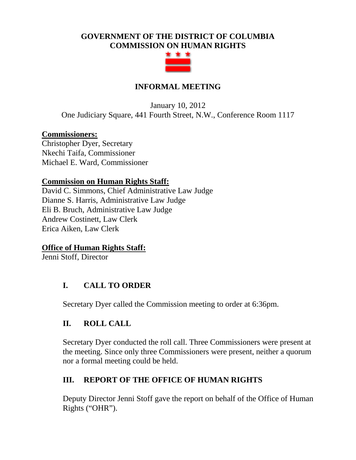## **GOVERNMENT OF THE DISTRICT OF COLUMBIA COMMISSION ON HUMAN RIGHTS**



## **INFORMAL MEETING**

January 10, 2012 One Judiciary Square, 441 Fourth Street, N.W., Conference Room 1117

#### **Commissioners:**

Christopher Dyer, Secretary Nkechi Taifa, Commissioner Michael E. Ward, Commissioner

#### **Commission on Human Rights Staff:**

David C. Simmons, Chief Administrative Law Judge Dianne S. Harris, Administrative Law Judge Eli B. Bruch, Administrative Law Judge Andrew Costinett, Law Clerk Erica Aiken, Law Clerk

#### **Office of Human Rights Staff:**

Jenni Stoff, Director

## **I. CALL TO ORDER**

Secretary Dyer called the Commission meeting to order at 6:36pm.

## **II. ROLL CALL**

Secretary Dyer conducted the roll call. Three Commissioners were present at the meeting. Since only three Commissioners were present, neither a quorum nor a formal meeting could be held.

## **III. REPORT OF THE OFFICE OF HUMAN RIGHTS**

Deputy Director Jenni Stoff gave the report on behalf of the Office of Human Rights ("OHR").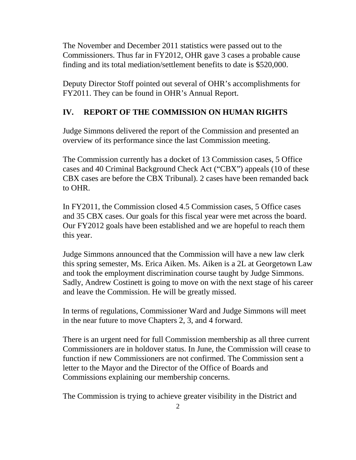The November and December 2011 statistics were passed out to the Commissioners. Thus far in FY2012, OHR gave 3 cases a probable cause finding and its total mediation/settlement benefits to date is \$520,000.

Deputy Director Stoff pointed out several of OHR's accomplishments for FY2011. They can be found in OHR's Annual Report.

# **IV. REPORT OF THE COMMISSION ON HUMAN RIGHTS**

Judge Simmons delivered the report of the Commission and presented an overview of its performance since the last Commission meeting.

The Commission currently has a docket of 13 Commission cases, 5 Office cases and 40 Criminal Background Check Act ("CBX") appeals (10 of these CBX cases are before the CBX Tribunal). 2 cases have been remanded back to OHR.

In FY2011, the Commission closed 4.5 Commission cases, 5 Office cases and 35 CBX cases. Our goals for this fiscal year were met across the board. Our FY2012 goals have been established and we are hopeful to reach them this year.

Judge Simmons announced that the Commission will have a new law clerk this spring semester, Ms. Erica Aiken. Ms. Aiken is a 2L at Georgetown Law and took the employment discrimination course taught by Judge Simmons. Sadly, Andrew Costinett is going to move on with the next stage of his career and leave the Commission. He will be greatly missed.

In terms of regulations, Commissioner Ward and Judge Simmons will meet in the near future to move Chapters 2, 3, and 4 forward.

There is an urgent need for full Commission membership as all three current Commissioners are in holdover status. In June, the Commission will cease to function if new Commissioners are not confirmed. The Commission sent a letter to the Mayor and the Director of the Office of Boards and Commissions explaining our membership concerns.

The Commission is trying to achieve greater visibility in the District and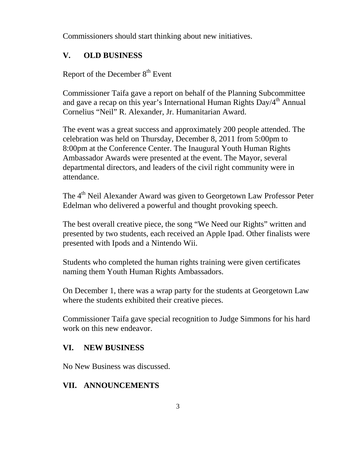Commissioners should start thinking about new initiatives.

# **V. OLD BUSINESS**

Report of the December 8<sup>th</sup> Event

Commissioner Taifa gave a report on behalf of the Planning Subcommittee and gave a recap on this year's International Human Rights  $Day/4<sup>th</sup>$  Annual Cornelius "Neil" R. Alexander, Jr. Humanitarian Award.

The event was a great success and approximately 200 people attended. The celebration was held on Thursday, December 8, 2011 from 5:00pm to 8:00pm at the Conference Center. The Inaugural Youth Human Rights Ambassador Awards were presented at the event. The Mayor, several departmental directors, and leaders of the civil right community were in attendance.

The 4<sup>th</sup> Neil Alexander Award was given to Georgetown Law Professor Peter Edelman who delivered a powerful and thought provoking speech.

The best overall creative piece, the song "We Need our Rights" written and presented by two students, each received an Apple Ipad. Other finalists were presented with Ipods and a Nintendo Wii.

Students who completed the human rights training were given certificates naming them Youth Human Rights Ambassadors.

On December 1, there was a wrap party for the students at Georgetown Law where the students exhibited their creative pieces.

Commissioner Taifa gave special recognition to Judge Simmons for his hard work on this new endeavor.

## **VI. NEW BUSINESS**

No New Business was discussed.

## **VII. ANNOUNCEMENTS**